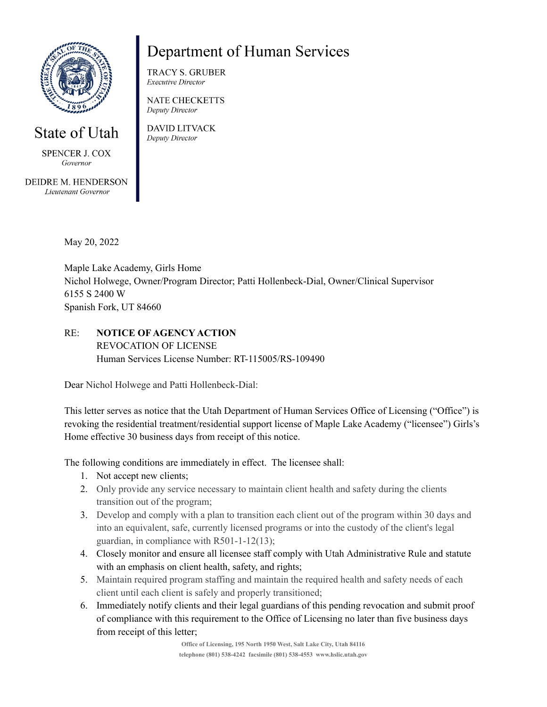

## State of Utah

**SPENCER J. COX** Governor

DEIDRE M. HENDERSON Lieutenant Governor

# **Department of Human Services**

**TRACY S. GRUBER Executive Director** 

**NATE CHECKETTS** Deputy Director

**DAVID LITVACK** Deputy Director

May 20, 2022

Maple Lake Academy, Girls Home Nichol Holwege, Owner/Program Director; Patti Hollenbeck-Dial, Owner/Clinical Supervisor 6155 S 2400 W Spanish Fork, UT 84660

RE: **NOTICE OF AGENCY ACTION** REVOCATION OF LICENSE Human Services License Number: RT-115005/RS-109490

Dear Nichol Holwege and Patti Hollenbeck-Dial:

This letter serves as notice that the Utah Department of Human Services Office of Licensing ("Office") is revoking the residential treatment/residential support license of Maple Lake Academy ("licensee") Girls's Home effective 30 business days from receipt of this notice.

The following conditions are immediately in effect. The licensee shall:

- 1. Not accept new clients;
- 2. Only provide any service necessary to maintain client health and safety during the clients transition out of the program;
- 3. Develop and comply with a plan to transition each client out of the program within 30 days and into an equivalent, safe, currently licensed programs or into the custody of the client's legal guardian, in compliance with R501-1-12(13);
- 4. Closely monitor and ensure all licensee staff comply with Utah Administrative Rule and statute with an emphasis on client health, safety, and rights;
- 5. Maintain required program staffing and maintain the required health and safety needs of each client until each client is safely and properly transitioned;
- 6. Immediately notify clients and their legal guardians of this pending revocation and submit proof of compliance with this requirement to the Office of Licensing no later than five business days from receipt of this letter;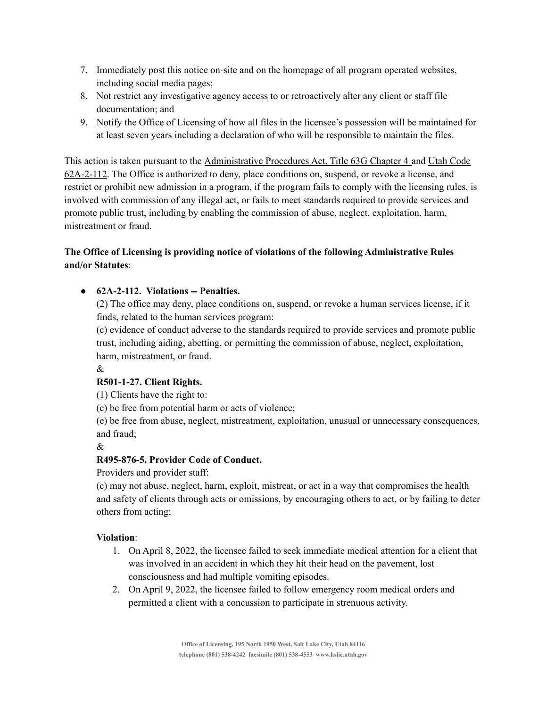- 7. Immediately post this notice on-site and on the homepage of all program operated websites, including social media pages;
- 8. Not restrict any investigative agency access to or retroactively alter any client or staff file documentation; and
- 9. Notify the Office of Licensing of how all files in the licensee's possession will be maintained for at least seven years including a declaration of who will be responsible to maintain the files.

This action is taken pursuant to the Administrative Procedures Act, Title 63G Chapter 4 and Utah Code 62A-2-112. The Office is authorized to deny, place conditions on, suspend, or revoke a license, and restrict or prohibit new admission in a program, if the program fails to comply with the licensing rules, is involved with commission of any illegal act, or fails to meet standards required to provide services and promote public trust, including by enabling the commission of abuse, neglect, exploitation, harm, mistreatment or fraud.

### **The Office of Licensing is providing notice of violations of the following Administrative Rules and/or Statutes**:

#### ● **62A-2-112. Violations -- Penalties.**

(2) The office may deny, place conditions on, suspend, or revoke a human services license, if it finds, related to the human services program:

(c) evidence of conduct adverse to the standards required to provide services and promote public trust, including aiding, abetting, or permitting the commission of abuse, neglect, exploitation, harm, mistreatment, or fraud.

#### &

#### **R501-1-27. Client Rights.**

(1) Clients have the right to:

(c) be free from potential harm or acts of violence;

(e) be free from abuse, neglect, mistreatment, exploitation, unusual or unnecessary consequences, and fraud;

&

#### **R495-876-5. Provider Code of Conduct.**

Providers and provider staff:

(c) may not abuse, neglect, harm, exploit, mistreat, or act in a way that compromises the health and safety of clients through acts or omissions, by encouraging others to act, or by failing to deter others from acting;

#### **Violation**:

- 1. On April 8, 2022, the licensee failed to seek immediate medical attention for a client that was involved in an accident in which they hit their head on the pavement, lost consciousness and had multiple vomiting episodes.
- 2. On April 9, 2022, the licensee failed to follow emergency room medical orders and permitted a client with a concussion to participate in strenuous activity.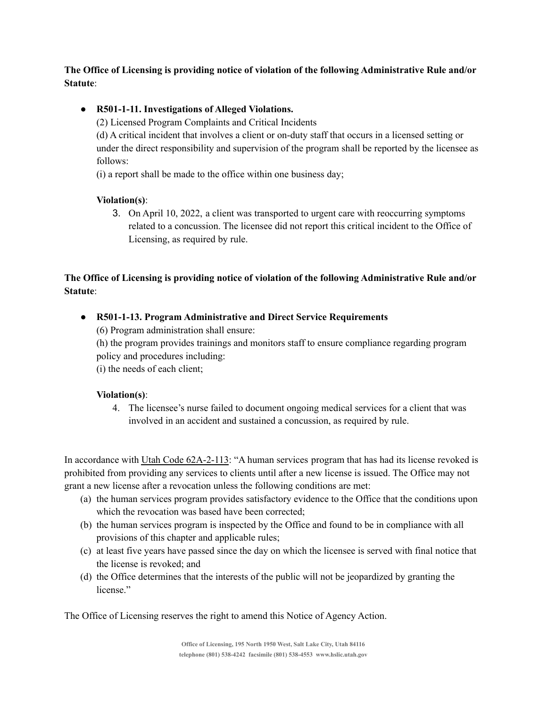#### **The Office of Licensing is providing notice of violation of the following Administrative Rule and/or Statute**:

#### **● R501-1-11. Investigations of Alleged Violations.**

(2) Licensed Program Complaints and Critical Incidents

(d) A critical incident that involves a client or on-duty staff that occurs in a licensed setting or under the direct responsibility and supervision of the program shall be reported by the licensee as follows:

(i) a report shall be made to the office within one business day;

#### **Violation(s)**:

3. On April 10, 2022, a client was transported to urgent care with reoccurring symptoms related to a concussion. The licensee did not report this critical incident to the Office of Licensing, as required by rule.

### **The Office of Licensing is providing notice of violation of the following Administrative Rule and/or Statute**:

● **R501-1-13. Program Administrative and Direct Service Requirements**

(6) Program administration shall ensure:

(h) the program provides trainings and monitors staff to ensure compliance regarding program policy and procedures including:

(i) the needs of each client;

#### **Violation(s)**:

4. The licensee's nurse failed to document ongoing medical services for a client that was involved in an accident and sustained a concussion, as required by rule.

In accordance with Utah Code 62A-2-113: "A human services program that has had its license revoked is prohibited from providing any services to clients until after a new license is issued. The Office may not grant a new license after a revocation unless the following conditions are met:

- (a) the human services program provides satisfactory evidence to the Office that the conditions upon which the revocation was based have been corrected;
- (b) the human services program is inspected by the Office and found to be in compliance with all provisions of this chapter and applicable rules;
- (c) at least five years have passed since the day on which the licensee is served with final notice that the license is revoked; and
- (d) the Office determines that the interests of the public will not be jeopardized by granting the license."

The Office of Licensing reserves the right to amend this Notice of Agency Action.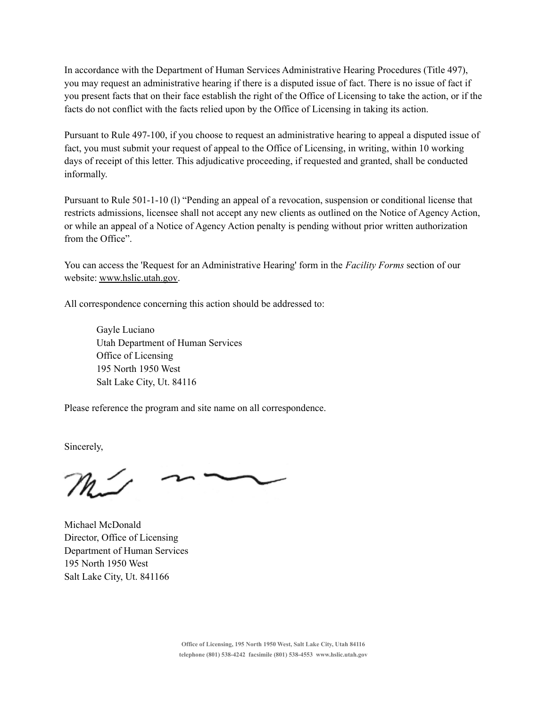In accordance with the Department of Human Services Administrative Hearing Procedures (Title 497), you may request an administrative hearing if there is a disputed issue of fact. There is no issue of fact if you present facts that on their face establish the right of the Office of Licensing to take the action, or if the facts do not conflict with the facts relied upon by the Office of Licensing in taking its action.

Pursuant to Rule 497-100, if you choose to request an administrative hearing to appeal a disputed issue of fact, you must submit your request of appeal to the Office of Licensing, in writing, within 10 working days of receipt of this letter. This adjudicative proceeding, if requested and granted, shall be conducted informally.

Pursuant to Rule 501-1-10 (l) "Pending an appeal of a revocation, suspension or conditional license that restricts admissions, licensee shall not accept any new clients as outlined on the Notice of Agency Action, or while an appeal of a Notice of Agency Action penalty is pending without prior written authorization from the Office".

You can access the 'Request for an Administrative Hearing' form in the *Facility Forms* section of our website: [www.hslic.utah.gov.](http://www.hslic.utah.gov)

All correspondence concerning this action should be addressed to:

Gayle Luciano Utah Department of Human Services Office of Licensing 195 North 1950 West Salt Lake City, Ut. 84116

Please reference the program and site name on all correspondence.

Sincerely,

Michael McDonald Director, Office of Licensing Department of Human Services 195 North 1950 West Salt Lake City, Ut. 841166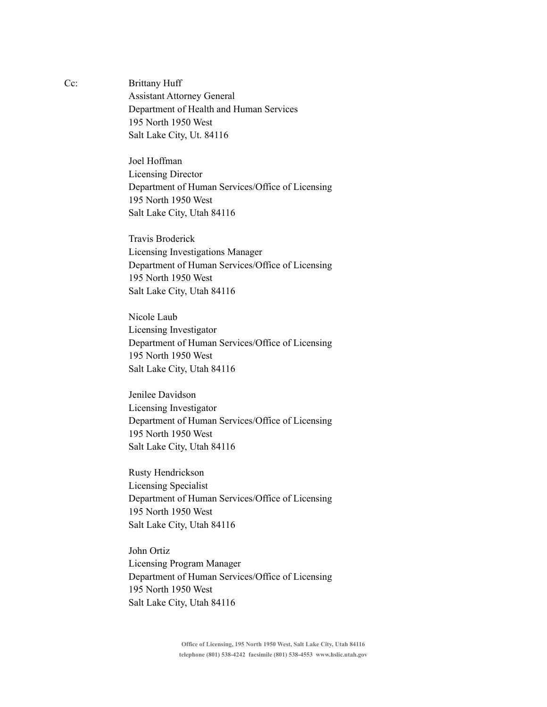Cc: Brittany Huff Assistant Attorney General Department of Health and Human Services 195 North 1950 West Salt Lake City, Ut. 84116

> Joel Hoffman Licensing Director Department of Human Services/Office of Licensing 195 North 1950 West Salt Lake City, Utah 84116

> Travis Broderick Licensing Investigations Manager Department of Human Services/Office of Licensing 195 North 1950 West Salt Lake City, Utah 84116

> Nicole Laub Licensing Investigator Department of Human Services/Office of Licensing 195 North 1950 West Salt Lake City, Utah 84116

> Jenilee Davidson Licensing Investigator Department of Human Services/Office of Licensing 195 North 1950 West Salt Lake City, Utah 84116

> Rusty Hendrickson Licensing Specialist Department of Human Services/Office of Licensing 195 North 1950 West Salt Lake City, Utah 84116

> John Ortiz Licensing Program Manager Department of Human Services/Office of Licensing 195 North 1950 West Salt Lake City, Utah 84116